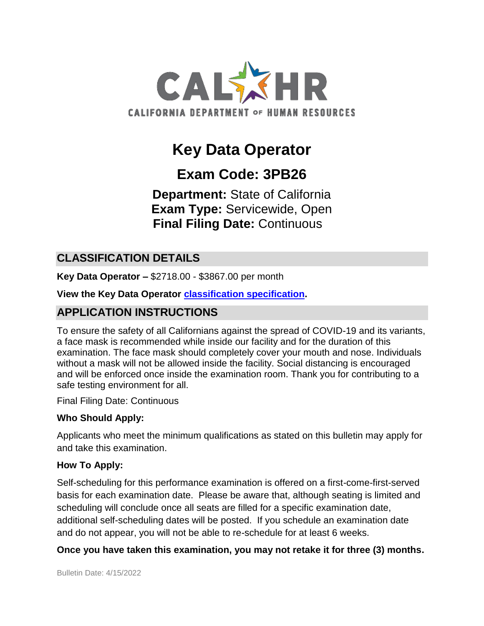

# **Key Data Operator**

# **Exam Code: 3PB26**

**Department:** State of California **Exam Type:** Servicewide, Open **Final Filing Date:** Continuous

## **CLASSIFICATION DETAILS**

**Key Data Operator –** \$2718.00 - \$3867.00 per month

**View the Key Data Operator [classification specification.](http://www.calhr.ca.gov/state-hr-professionals/pages/1419.aspx)**

# **APPLICATION INSTRUCTIONS**

To ensure the safety of all Californians against the spread of COVID-19 and its variants, a face mask is recommended while inside our facility and for the duration of this examination. The face mask should completely cover your mouth and nose. Individuals without a mask will not be allowed inside the facility. Social distancing is encouraged and will be enforced once inside the examination room. Thank you for contributing to a safe testing environment for all.

Final Filing Date: Continuous

#### **Who Should Apply:**

Applicants who meet the minimum qualifications as stated on this bulletin may apply for and take this examination.

#### **How To Apply:**

Self-scheduling for this performance examination is offered on a first-come-first-served basis for each examination date. Please be aware that, although seating is limited and scheduling will conclude once all seats are filled for a specific examination date, additional self-scheduling dates will be posted. If you schedule an examination date and do not appear, you will not be able to re-schedule for at least 6 weeks.

#### **Once you have taken this examination, you may not retake it for three (3) months.**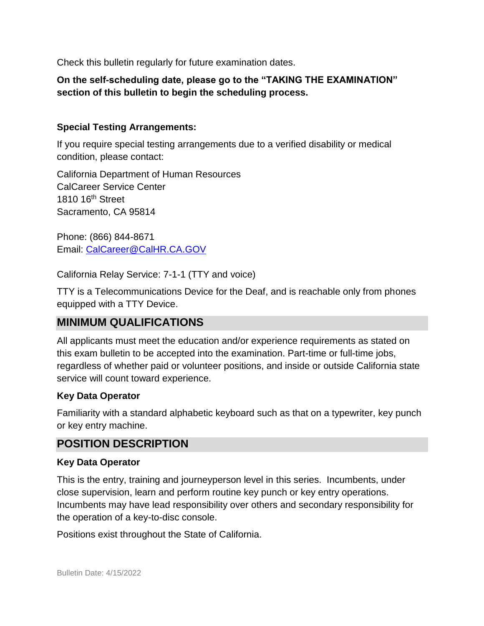Check this bulletin regularly for future examination dates.

#### **On the self-scheduling date, please go to the "TAKING THE EXAMINATION" section of this bulletin to begin the scheduling process.**

#### **Special Testing Arrangements:**

If you require special testing arrangements due to a verified disability or medical condition, please contact:

California Department of Human Resources CalCareer Service Center 1810 16<sup>th</sup> Street Sacramento, CA 95814

Phone: (866) 844-8671 Email: [CalCareer@CalHR.CA.GOV](mailto:CalCareer@CalHR.CA.GOV)

California Relay Service: 7-1-1 (TTY and voice)

TTY is a Telecommunications Device for the Deaf, and is reachable only from phones equipped with a TTY Device.

# **MINIMUM QUALIFICATIONS**

All applicants must meet the education and/or experience requirements as stated on this exam bulletin to be accepted into the examination. Part-time or full-time jobs, regardless of whether paid or volunteer positions, and inside or outside California state service will count toward experience.

#### **Key Data Operator**

Familiarity with a standard alphabetic keyboard such as that on a typewriter, key punch or key entry machine.

## **POSITION DESCRIPTION**

#### **Key Data Operator**

This is the entry, training and journeyperson level in this series. Incumbents, under close supervision, learn and perform routine key punch or key entry operations. Incumbents may have lead responsibility over others and secondary responsibility for the operation of a key-to-disc console.

Positions exist throughout the State of California.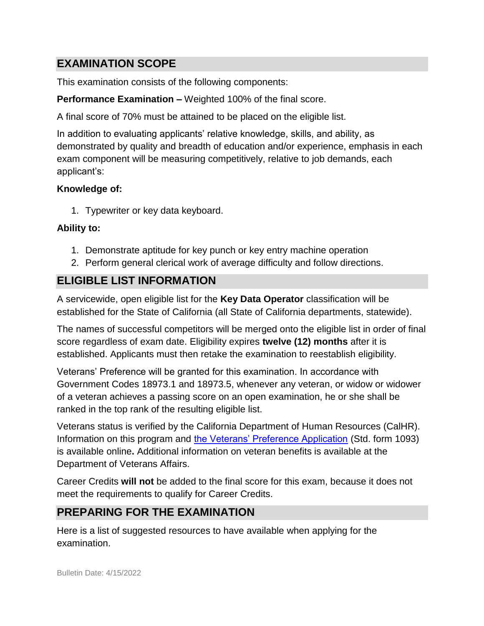# **EXAMINATION SCOPE**

This examination consists of the following components:

**Performance Examination –** Weighted 100% of the final score.

A final score of 70% must be attained to be placed on the eligible list.

In addition to evaluating applicants' relative knowledge, skills, and ability, as demonstrated by quality and breadth of education and/or experience, emphasis in each exam component will be measuring competitively, relative to job demands, each applicant's:

## **Knowledge of:**

1. Typewriter or key data keyboard.

## **Ability to:**

- 1. Demonstrate aptitude for key punch or key entry machine operation
- 2. Perform general clerical work of average difficulty and follow directions.

# **ELIGIBLE LIST INFORMATION**

A servicewide, open eligible list for the **Key Data Operator** classification will be established for the State of California (all State of California departments, statewide).

The names of successful competitors will be merged onto the eligible list in order of final score regardless of exam date. Eligibility expires **twelve (12) months** after it is established. Applicants must then retake the examination to reestablish eligibility.

Veterans' Preference will be granted for this examination. In accordance with Government Codes 18973.1 and 18973.5, whenever any veteran, or widow or widower of a veteran achieves a passing score on an open examination, he or she shall be ranked in the top rank of the resulting eligible list.

Veterans status is verified by the California Department of Human Resources (CalHR). Information on this program and [the Veterans' Preference Application](https://www.jobs.ca.gov/CalHRPublic/Landing/Jobs/VeteransInformation.aspx) (Std. form 1093) is available online**.** Additional information on veteran benefits is available at the Department of Veterans Affairs.

Career Credits **will not** be added to the final score for this exam, because it does not meet the requirements to qualify for Career Credits.

# **PREPARING FOR THE EXAMINATION**

Here is a list of suggested resources to have available when applying for the examination.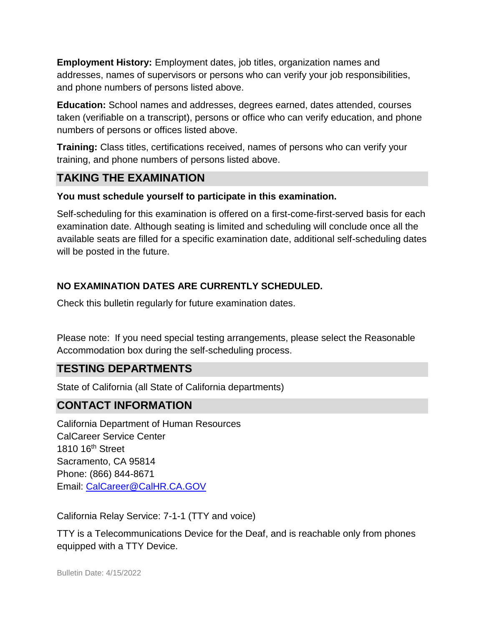**Employment History:** Employment dates, job titles, organization names and addresses, names of supervisors or persons who can verify your job responsibilities, and phone numbers of persons listed above.

**Education:** School names and addresses, degrees earned, dates attended, courses taken (verifiable on a transcript), persons or office who can verify education, and phone numbers of persons or offices listed above.

**Training:** Class titles, certifications received, names of persons who can verify your training, and phone numbers of persons listed above.

## **TAKING THE EXAMINATION**

#### **You must schedule yourself to participate in this examination.**

Self-scheduling for this examination is offered on a first-come-first-served basis for each examination date. Although seating is limited and scheduling will conclude once all the available seats are filled for a specific examination date, additional self-scheduling dates will be posted in the future.

## **NO EXAMINATION DATES ARE CURRENTLY SCHEDULED.**

Check this bulletin regularly for future examination dates.

Please note: If you need special testing arrangements, please select the Reasonable Accommodation box during the self-scheduling process.

# **TESTING DEPARTMENTS**

State of California (all State of California departments)

## **CONTACT INFORMATION**

California Department of Human Resources CalCareer Service Center 1810 16th Street Sacramento, CA 95814 Phone: (866) 844-8671 Email: [CalCareer@CalHR.CA.GOV](mailto:CalCareer@CalHR.CA.GOV)

California Relay Service: 7-1-1 (TTY and voice)

TTY is a Telecommunications Device for the Deaf, and is reachable only from phones equipped with a TTY Device.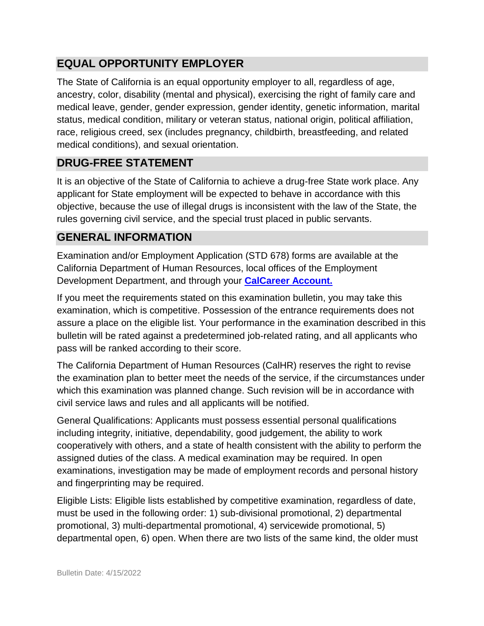# **EQUAL OPPORTUNITY EMPLOYER**

The State of California is an equal opportunity employer to all, regardless of age, ancestry, color, disability (mental and physical), exercising the right of family care and medical leave, gender, gender expression, gender identity, genetic information, marital status, medical condition, military or veteran status, national origin, political affiliation, race, religious creed, sex (includes pregnancy, childbirth, breastfeeding, and related medical conditions), and sexual orientation.

# **DRUG-FREE STATEMENT**

It is an objective of the State of California to achieve a drug-free State work place. Any applicant for State employment will be expected to behave in accordance with this objective, because the use of illegal drugs is inconsistent with the law of the State, the rules governing civil service, and the special trust placed in public servants.

## **GENERAL INFORMATION**

Examination and/or Employment Application (STD 678) forms are available at the California Department of Human Resources, local offices of the Employment Development Department, and through your **[CalCareer Account.](http://www.jobs.ca.gov/)**

If you meet the requirements stated on this examination bulletin, you may take this examination, which is competitive. Possession of the entrance requirements does not assure a place on the eligible list. Your performance in the examination described in this bulletin will be rated against a predetermined job-related rating, and all applicants who pass will be ranked according to their score.

The California Department of Human Resources (CalHR) reserves the right to revise the examination plan to better meet the needs of the service, if the circumstances under which this examination was planned change. Such revision will be in accordance with civil service laws and rules and all applicants will be notified.

General Qualifications: Applicants must possess essential personal qualifications including integrity, initiative, dependability, good judgement, the ability to work cooperatively with others, and a state of health consistent with the ability to perform the assigned duties of the class. A medical examination may be required. In open examinations, investigation may be made of employment records and personal history and fingerprinting may be required.

Eligible Lists: Eligible lists established by competitive examination, regardless of date, must be used in the following order: 1) sub-divisional promotional, 2) departmental promotional, 3) multi-departmental promotional, 4) servicewide promotional, 5) departmental open, 6) open. When there are two lists of the same kind, the older must